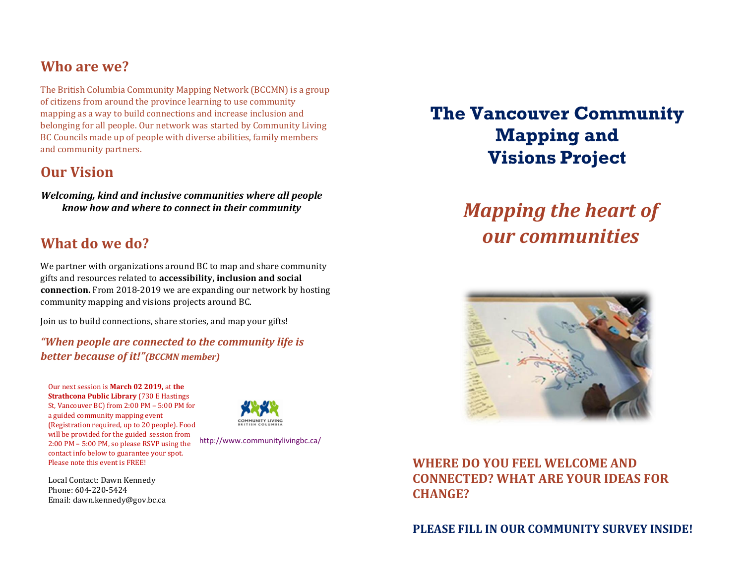# **Who are we?**

The British Columbia Community Mapping Network (BCCMN) is a group of citizens from around the province learning to use community mapping as a way to build connections and increase inclusion and belonging for all people. Our network was started by Community Living BC Councils made up of people with diverse abilities, family members and community partners.

# **Our Vision**

*Welcoming, kind and inclusive communities where all people know how and where to connect in their community*

# **What do we do?**

We partner with organizations around BC to map and share community gifts and resources related to **accessibility, inclusion and social connection.** From 2018-2019 we are expanding our network by hosting community mapping and visions projects around BC.

Join us to build connections, share stories, and map your gifts!

*"When people are connected to the community life is better because of it!"(BCCMN member)*

Our next session is **March 02 2019,** at **the Strathcona Public Library** (730 E Hastings St, Vancouver BC) from 2:00 PM – 5:00 PM for a guided community mapping event (Registration required, up to 20 people). Food will be provided for the guided session from 2:00 PM – 5:00 PM, so please RSVP using the contact info below to guarantee your spot. Please note this event is FREE!

Local Contact: Dawn Kennedy Phone: 604-220-5424

Email: dawn.kennedy@gov.bc.ca



http://www.communitylivingbc.ca/

**The Vancouver Community Mapping and Visions Project** 

# *Mapping the heart of our communities*



# **WHERE DO YOU FEEL WELCOME AND CONNECTED? WHAT ARE YOUR IDEAS FOR CHANGE?**

**PLEASE FILL IN OUR COMMUNITY SURVEY INSIDE!**